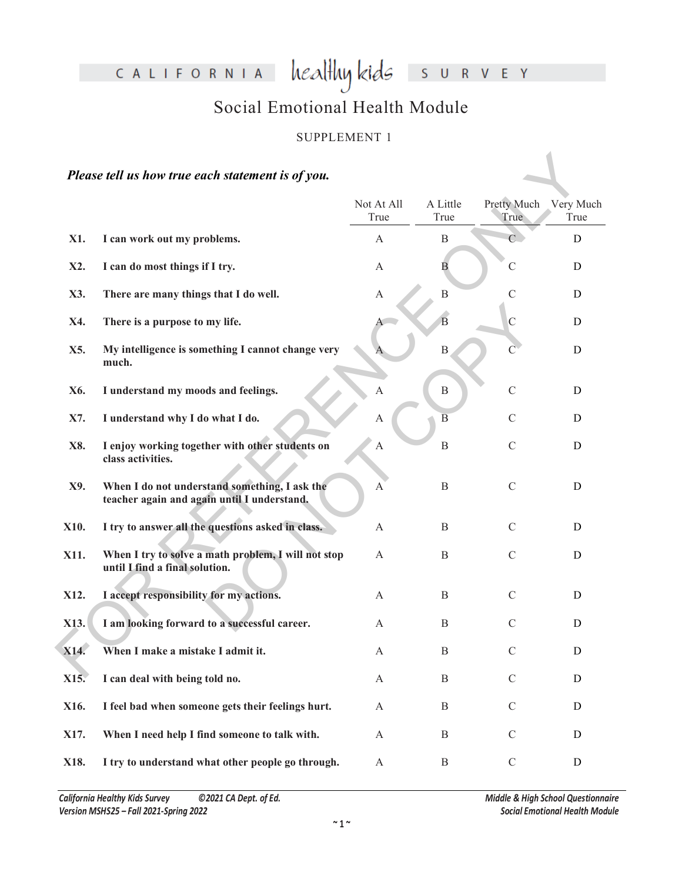CALIFORNIA healthykids SURVEY

# Social Emotional Health Module

#### SUPPLEMENT 1

## *Please tell us how true each statement is of you.*

| Please tell us how true each statement is of you. |                                                                                              |                    |                  |                     |                   |  |
|---------------------------------------------------|----------------------------------------------------------------------------------------------|--------------------|------------------|---------------------|-------------------|--|
|                                                   |                                                                                              | Not At All<br>True | A Little<br>True | Pretty Much<br>True | Very Much<br>True |  |
| X1.                                               | I can work out my problems.                                                                  | A                  | $\mathbf B$      | $\overline{C}$      | D                 |  |
| X2.                                               | I can do most things if I try.                                                               | A                  | B                | $\mathcal{C}$       | D                 |  |
| X3.                                               | There are many things that I do well.                                                        | A                  | B                | $\mathcal{C}$       | D                 |  |
| X4.                                               | There is a purpose to my life.                                                               |                    | B                | $\mathcal{C}$       | D                 |  |
| X5.                                               | My intelligence is something I cannot change very<br>much.                                   |                    | B                | $\mathcal{C}$       | D                 |  |
| X6.                                               | I understand my moods and feelings.                                                          |                    | $\, {\bf B}$     | $\mathcal{C}$       | D                 |  |
| X7.                                               | I understand why I do what I do.                                                             | A                  | $\overline{B}$   | $\mathcal{C}$       | D                 |  |
| X8.                                               | I enjoy working together with other students on<br>class activities.                         | A                  | $\, {\bf B}$     | $\mathcal{C}$       | D                 |  |
| X9.                                               | When I do not understand something, I ask the<br>teacher again and again until I understand. | $\mathbf{A}$       | B                | $\mathcal{C}$       | D                 |  |
| X10.                                              | I try to answer all the questions asked in class.                                            | $\mathbf{A}$       | B                | $\mathcal{C}$       | D                 |  |
| X11.                                              | When I try to solve a math problem, I will not stop<br>until I find a final solution.        | $\mathbf{A}$       | B                | $\mathcal{C}$       | D                 |  |
| X12.                                              | I accept responsibility for my actions.                                                      | A                  | B                | $\mathcal{C}$       | D                 |  |
| X13.                                              | I am looking forward to a successful career.                                                 | A                  | B                | $\mathcal{C}$       | D                 |  |
| X14.                                              | When I make a mistake I admit it.                                                            | A                  | B                | $\mathcal{C}$       | D                 |  |
| X15.                                              | I can deal with being told no.                                                               | $\mathbf{A}$       | $\, {\bf B}$     | $\mathbf C$         | D                 |  |
| X16.                                              | I feel bad when someone gets their feelings hurt.                                            | $\mathbf{A}$       | $\, {\bf B}$     | $\mathcal{C}$       | $\mathbf D$       |  |
| X17.                                              | When I need help I find someone to talk with.                                                | $\mathbf{A}$       | $\, {\bf B}$     | $\mathcal{C}$       | $\mathbf D$       |  |
| X18.                                              | I try to understand what other people go through.                                            | $\mathbf{A}$       | $\, {\bf B}$     | $\mathbf C$         | D                 |  |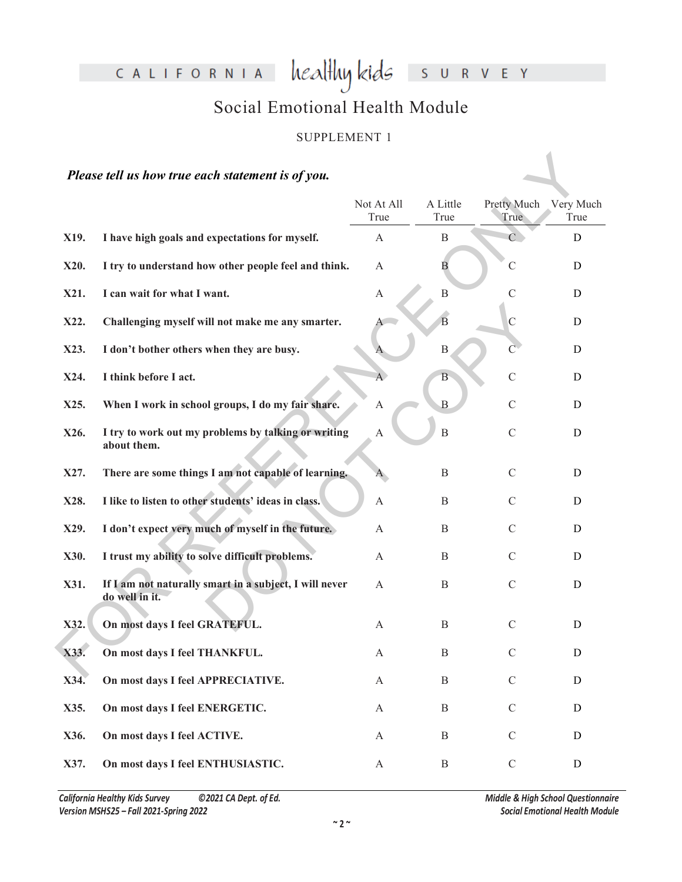CALIFORNIA healthykids SURVEY

# Social Emotional Health Module

#### SUPPLEMENT 1

## *Please tell us how true each statement is of you.*

| Please tell us how true each statement is of you. |                                                                          |                    |                  |                     |                   |  |
|---------------------------------------------------|--------------------------------------------------------------------------|--------------------|------------------|---------------------|-------------------|--|
|                                                   |                                                                          | Not At All<br>True | A Little<br>True | Pretty Much<br>True | Very Much<br>True |  |
| X19.                                              | I have high goals and expectations for myself.                           | A                  | $\boldsymbol{B}$ | $\overline{C}$      | D                 |  |
| X20.                                              | I try to understand how other people feel and think.                     | A                  | В                | C                   | D                 |  |
| X21.                                              | I can wait for what I want.                                              | A                  | B                | $\mathcal{C}$       | D                 |  |
| X22.                                              | Challenging myself will not make me any smarter.                         |                    | B                | $\mathcal{C}$       | D                 |  |
| X23.                                              | I don't bother others when they are busy.                                |                    | B                |                     | D                 |  |
| X24.                                              | I think before I act.                                                    | A.                 | В                | $\mathcal{C}$       | D                 |  |
| X25.                                              | When I work in school groups, I do my fair share.                        | A                  | $\mathbf B$      | $\mathcal{C}$       | D                 |  |
| X26.                                              | I try to work out my problems by talking or writing<br>about them.       | A                  | $\mathbf B$      | $\mathcal{C}$       | D                 |  |
| X27.                                              | There are some things I am not capable of learning.                      | A                  | B                | $\mathcal{C}$       | D                 |  |
| X28.                                              | I like to listen to other students' ideas in class.                      | A                  | B                | $\mathcal{C}$       | D                 |  |
| X29.                                              | I don't expect very much of myself in the future.                        | A                  | B                | $\mathcal{C}$       | D                 |  |
| X30.                                              | I trust my ability to solve difficult problems.                          | A                  | B                | $\mathcal{C}$       | D                 |  |
| X31.                                              | If I am not naturally smart in a subject, I will never<br>do well in it. | A                  | B                | $\mathcal{C}$       | D                 |  |
| X32.                                              | On most days I feel GRATEFUL.                                            | А                  | B                | $\mathcal{C}$       | D                 |  |
| X33.                                              | On most days I feel THANKFUL.                                            | A                  | B                | C                   | D                 |  |
| X34.                                              | On most days I feel APPRECIATIVE.                                        | $\mathbf{A}$       | $\, {\bf B}$     | $\mathbf C$         | ${\bf D}$         |  |
| X35.                                              | On most days I feel ENERGETIC.                                           | $\mathbf{A}$       | B                | $\mathcal{C}$       | $\mathbf D$       |  |
| X36.                                              | On most days I feel ACTIVE.                                              | $\mathbf{A}$       | B                | $\mathcal{C}$       | D                 |  |
| X37.                                              | On most days I feel ENTHUSIASTIC.                                        | $\mathbf{A}$       | $\, {\bf B}$     | $\mathbf C$         | D                 |  |